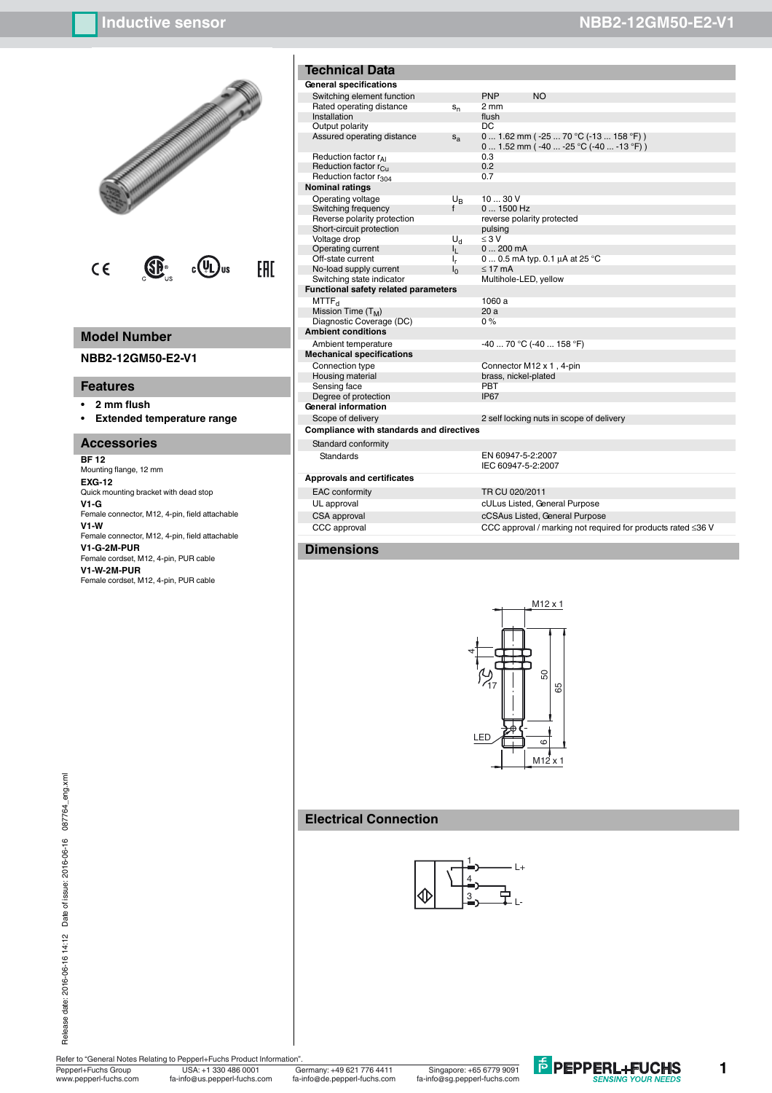

# **Model Number**

**NBB2-12GM50-E2-V1**

### **Features**

- **ï 2 mm flush**
- **ï Extended temperature range**

### **Accessories**

**BF 12** Mounting flange, 12 mm **EXG-12** Quick mounting bracket with dead stop **V1-G** Female connector, M12, 4-pin, field attachable **V1-W** Female connector, M12, 4-pin, field attachable **V1-G-2M-PUR** Female cordset, M12, 4-pin, PUR cable **V1-W-2M-PUR** Female cordset, M12, 4-pin, PUR cable

| <b>Technical Data</b>                                  |                  |                                         |                                                 |
|--------------------------------------------------------|------------------|-----------------------------------------|-------------------------------------------------|
| General specifications                                 |                  |                                         |                                                 |
| Switching element function<br>Rated operating distance | $S_{n}$          | <b>PNP</b><br>2 mm                      | <b>NO</b>                                       |
| Installation                                           |                  | flush                                   |                                                 |
| Output polarity                                        |                  | DC                                      |                                                 |
| Assured operating distance                             | $S_{2}$          |                                         | 0  1.62 mm (-25  70 °<br>0  1.52 mm (-40  -25 ° |
| Reduction factor r <sub>41</sub>                       |                  | 0.3                                     |                                                 |
| Reduction factor r <sub>Cu</sub>                       |                  | 0.2                                     |                                                 |
| Reduction factor r <sub>304</sub>                      |                  | 0.7                                     |                                                 |
| <b>Nominal ratings</b>                                 |                  |                                         |                                                 |
| Operating voltage                                      | $U_{\mathsf{R}}$ | 1030V                                   |                                                 |
| Switching frequency                                    | f                | 0  1500 Hz                              |                                                 |
| Reverse polarity protection                            |                  |                                         | reverse polarity protected                      |
| Short-circuit protection                               |                  | pulsing                                 |                                                 |
| Voltage drop                                           | U <sub>d</sub>   | $\leq 3$ V                              |                                                 |
| Operating current                                      | ı,               | 0200mA                                  |                                                 |
| Off-state current                                      | ı,               |                                         | $0 0.5$ mA typ. $0.1 \mu A$ at:                 |
| No-load supply current                                 | ı <sub>0</sub>   | $< 17 \text{ mA}$                       |                                                 |
| Switching state indicator                              |                  | Multihole-LED, yellow                   |                                                 |
| <b>Functional safety related parameters</b>            |                  |                                         |                                                 |
| MTTF <sub>d</sub>                                      |                  | 1060a                                   |                                                 |
| Mission Time $(T_M)$                                   |                  | 20a                                     |                                                 |
| Diagnostic Coverage (DC)                               |                  | 0%                                      |                                                 |
| <b>Ambient conditions</b>                              |                  |                                         |                                                 |
| Ambient temperature                                    |                  |                                         | -40  70 °C (-40  158 °F                         |
| <b>Mechanical specifications</b>                       |                  |                                         |                                                 |
| Connection type                                        |                  |                                         | Connector M12 x 1, 4-pin                        |
| Housing material                                       |                  | brass, nickel-plated                    |                                                 |
| Sensing face                                           |                  | PBT                                     |                                                 |
| Degree of protection                                   |                  | IP <sub>67</sub>                        |                                                 |
| General information                                    |                  |                                         |                                                 |
| Scope of delivery                                      |                  |                                         | 2 self locking nuts in scop                     |
| <b>Compliance with standards and directives</b>        |                  |                                         |                                                 |
| Standard conformity                                    |                  |                                         |                                                 |
| <b>Standards</b>                                       |                  | EN 60947-5-2:2007<br>IEC 60947-5-2-2007 |                                                 |

### **Approvals and certificates**

EAC conformity UL approval



## **Electrical Connection**



| Operating vo   |
|----------------|
| Switching fre  |
| Reverse pola   |
| Short-circuit  |
| Voltage drop   |
| Operating cu   |
| Off-state curr |
| No-load supp   |

| eneral specifications                   |                |                                                                                              |
|-----------------------------------------|----------------|----------------------------------------------------------------------------------------------|
| Switching element function              |                | <b>PNP</b><br><b>NO</b>                                                                      |
| Rated operating distance                | $S_n$          | 2 mm                                                                                         |
| Installation                            |                | flush                                                                                        |
| Output polarity                         |                | DC.                                                                                          |
| Assured operating distance              | $S_{a}$        | $0$ 1.62 mm ( $-25$ 70 °C ( $-13$ 158 °F))<br>0  1.52 mm ( $-40$ $-25$ °C ( $-40$ $-13$ °F)) |
| Reduction factor rAI                    |                | 0.3                                                                                          |
| Reduction factor r <sub>Cu</sub>        |                | 0.2                                                                                          |
| Reduction factor r <sub>304</sub>       |                | 0.7                                                                                          |
| ominal ratings                          |                |                                                                                              |
| Operating voltage                       | $U_{R}$        | 1030V                                                                                        |
| Switching frequency                     | $\mathbf{f}$   | $01500$ Hz                                                                                   |
| Reverse polarity protection             |                | reverse polarity protected                                                                   |
| Short-circuit protection                |                | pulsing                                                                                      |
| Voltage drop                            | U <sub>d</sub> | $\leq 3$ V                                                                                   |
| <b>Operating current</b>                | h.,            | $0200$ mA                                                                                    |
| Off-state current                       | I <sub>r</sub> | 0  0.5 mA typ. 0.1 $\mu$ A at 25 °C                                                          |
| No-load supply current                  | I٥             | $\leq$ 17 mA                                                                                 |
| Switching state indicator               |                | Multihole-LED, yellow                                                                        |
| unctional safety related parameters     |                |                                                                                              |
| MTTF <sub>d</sub>                       |                | 1060 a                                                                                       |
| Mission Time (T <sub>M</sub> )          |                | 20a                                                                                          |
| Diagnostic Coverage (DC)                |                | $0\%$                                                                                        |
| mbient conditions                       |                |                                                                                              |
| Ambient temperature                     |                | $-4070$ °C ( $-40158$ °F)                                                                    |
| echanical specifications                |                |                                                                                              |
| Connection type                         |                | Connector M12 x 1, 4-pin                                                                     |
| Housing material                        |                | brass, nickel-plated                                                                         |
| Sensing face                            |                | PBT                                                                                          |
| Degree of protection                    |                | IP67                                                                                         |
| eneral information                      |                |                                                                                              |
| Scope of delivery                       |                | 2 self locking nuts in scope of delivery                                                     |
| ompliance with standards and directives |                |                                                                                              |
| Standard conformity                     |                |                                                                                              |
| Standards                               |                | EN 60947-5-2:2007<br>IEC 60947-5-2:2007                                                      |
| pprovals and certificates               |                |                                                                                              |
| <b>EAC</b> conformity                   |                | TR CU 020/2011                                                                               |
| UL approval                             |                | cULus Listed, General Purpose                                                                |

CSA approval cCSAus Listed, General Purpose CCC approval CCC approval / marking not required for products rated ≤36 V

### **Dimensions**

Refer to "General Notes Relating to Pepperl+Fuchs Product Information".

Pepperl+Fuchs Group Germany: +49 621 776 4411 USA: +1 330 486 0001 Singapore: +65 6779 9091 www.pepperl-fuchs.com fa-info@us.pepperl-fuchs.com fa-info@sg.pepperl-fuchs.com fa-info@de.pepperl-fuchs.com



**1**